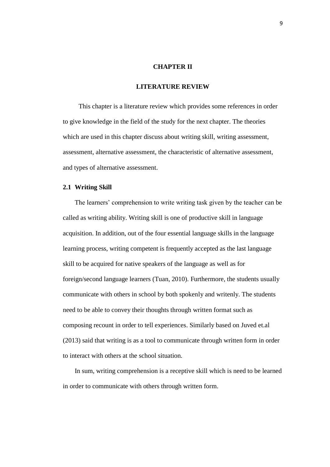### **CHAPTER II**

### **LITERATURE REVIEW**

This chapter is a literature review which provides some references in order to give knowledge in the field of the study for the next chapter. The theories which are used in this chapter discuss about writing skill, writing assessment, assessment, alternative assessment, the characteristic of alternative assessment, and types of alternative assessment.

### **2.1 Writing Skill**

The learners' comprehension to write writing task given by the teacher can be called as writing ability. Writing skill is one of productive skill in language acquisition. In addition, out of the four essential language skills in the language learning process, writing competent is frequently accepted as the last language skill to be acquired for native speakers of the language as well as for foreign/second language learners (Tuan, 2010). Furthermore, the students usually communicate with others in school by both spokenly and writenly. The students need to be able to convey their thoughts through written format such as composing recount in order to tell experiences. Similarly based on Juved et.al (2013) said that writing is as a tool to communicate through written form in order to interact with others at the school situation.

In sum, writing comprehension is a receptive skill which is need to be learned in order to communicate with others through written form.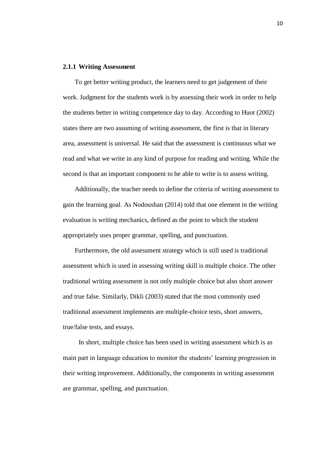#### **2.1.1 Writing Assessment**

To get better writing product, the learners need to get judgement of their work. Judgment for the students work is by assessing their work in order to help the students better in writing competence day to day. According to Huot (2002) states there are two assuming of writing assessment, the first is that in literary area, assessment is universal. He said that the assessment is continuous what we read and what we write in any kind of purpose for reading and writing. While the second is that an important component to be able to write is to assess writing.

Additionally, the teacher needs to define the criteria of writing assessment to gain the learning goal. As Nodoushan (2014) told that one element in the writing evaluation is writing mechanics, defined as the point to which the student appropriately uses proper grammar, spelling, and punctuation.

Furthermore, the old assessment strategy which is still used is traditional assessment which is used in assessing writing skill is multiple choice. The other traditional writing assessment is not only multiple choice but also short answer and true false. Similarly, Dikli (2003) stated that the most commonly used traditional assessment implements are multiple-choice tests, short answers, true/false tests, and essays.

In short, multiple choice has been used in writing assessment which is as main part in language education to monitor the students' learning progression in their writing improvement. Additionally, the components in writing assessment are grammar, spelling, and punctuation.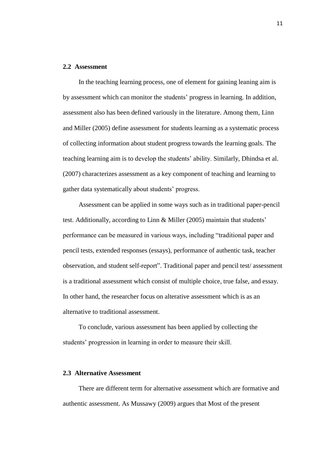### **2.2 Assessment**

In the teaching learning process, one of element for gaining leaning aim is by assessment which can monitor the students' progress in learning. In addition, assessment also has been defined variously in the literature. Among them, Linn and Miller (2005) define assessment for students learning as a systematic process of collecting information about student progress towards the learning goals. The teaching learning aim is to develop the students' ability. Similarly, Dhindsa et al. (2007) characterizes assessment as a key component of teaching and learning to gather data systematically about students' progress.

Assessment can be applied in some ways such as in traditional paper-pencil test. Additionally, according to Linn & Miller (2005) maintain that students' performance can be measured in various ways, including "traditional paper and pencil tests, extended responses (essays), performance of authentic task, teacher observation, and student self-report". Traditional paper and pencil test/ assessment is a traditional assessment which consist of multiple choice, true false, and essay. In other hand, the researcher focus on alterative assessment which is as an alternative to traditional assessment.

To conclude, various assessment has been applied by collecting the students' progression in learning in order to measure their skill.

## **2.3 Alternative Assessment**

There are different term for alternative assessment which are formative and authentic assessment. As Mussawy (2009) argues that Most of the present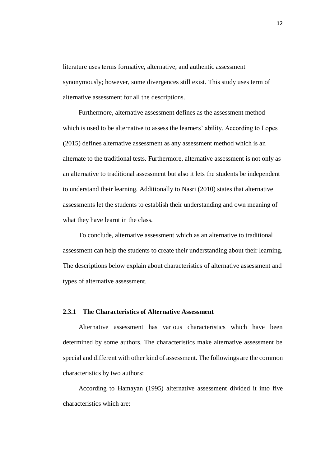literature uses terms formative, alternative, and authentic assessment synonymously; however, some divergences still exist. This study uses term of alternative assessment for all the descriptions.

Furthermore, alternative assessment defines as the assessment method which is used to be alternative to assess the learners' ability. According to Lopes (2015) defines alternative assessment as any assessment method which is an alternate to the traditional tests. Furthermore, alternative assessment is not only as an alternative to traditional assessment but also it lets the students be independent to understand their learning. Additionally to Nasri (2010) states that alternative assessments let the students to establish their understanding and own meaning of what they have learnt in the class.

To conclude, alternative assessment which as an alternative to traditional assessment can help the students to create their understanding about their learning. The descriptions below explain about characteristics of alternative assessment and types of alternative assessment.

## **2.3.1 The Characteristics of Alternative Assessment**

Alternative assessment has various characteristics which have been determined by some authors. The characteristics make alternative assessment be special and different with other kind of assessment. The followings are the common characteristics by two authors:

According to Hamayan (1995) alternative assessment divided it into five characteristics which are: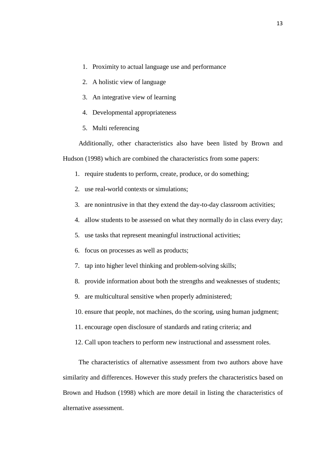- 1. Proximity to actual language use and performance
- 2. A holistic view of language
- 3. An integrative view of learning
- 4. Developmental appropriateness
- 5. Multi referencing

Additionally, other characteristics also have been listed by Brown and Hudson (1998) which are combined the characteristics from some papers:

- 1. require students to perform, create, produce, or do something;
- 2. use real-world contexts or simulations;
- 3. are nonintrusive in that they extend the day-to-day classroom activities;
- 4. allow students to be assessed on what they normally do in class every day;
- 5. use tasks that represent meaningful instructional activities;
- 6. focus on processes as well as products;
- 7. tap into higher level thinking and problem-solving skills;
- 8. provide information about both the strengths and weaknesses of students;
- 9. are multicultural sensitive when properly administered;
- 10. ensure that people, not machines, do the scoring, using human judgment;
- 11. encourage open disclosure of standards and rating criteria; and
- 12. Call upon teachers to perform new instructional and assessment roles.

The characteristics of alternative assessment from two authors above have similarity and differences. However this study prefers the characteristics based on Brown and Hudson (1998) which are more detail in listing the characteristics of alternative assessment.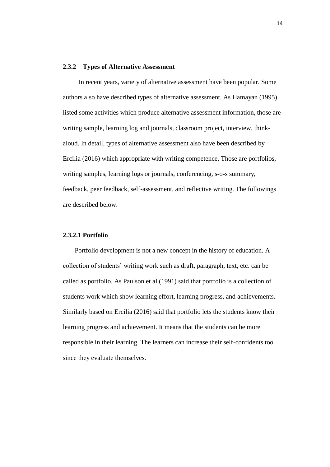### **2.3.2 Types of Alternative Assessment**

In recent years, variety of alternative assessment have been popular. Some authors also have described types of alternative assessment. As Hamayan (1995) listed some activities which produce alternative assessment information, those are writing sample, learning log and journals, classroom project, interview, thinkaloud. In detail, types of alternative assessment also have been described by Ercilia (2016) which appropriate with writing competence. Those are portfolios, writing samples, learning logs or journals, conferencing, s-o-s summary, feedback, peer feedback, self-assessment, and reflective writing. The followings are described below.

### **2.3.2.1 Portfolio**

Portfolio development is not a new concept in the history of education. A collection of students' writing work such as draft, paragraph, text, etc. can be called as portfolio. As Paulson et al (1991) said that portfolio is a collection of students work which show learning effort, learning progress, and achievements. Similarly based on Ercilia (2016) said that portfolio lets the students know their learning progress and achievement. It means that the students can be more responsible in their learning. The learners can increase their self-confidents too since they evaluate themselves.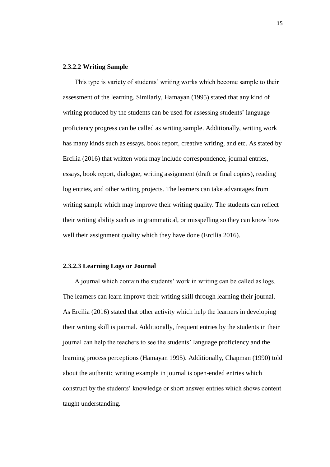## **2.3.2.2 Writing Sample**

This type is variety of students' writing works which become sample to their assessment of the learning. Similarly, Hamayan (1995) stated that any kind of writing produced by the students can be used for assessing students' language proficiency progress can be called as writing sample. Additionally, writing work has many kinds such as essays, book report, creative writing, and etc. As stated by Ercilia (2016) that written work may include correspondence, journal entries, essays, book report, dialogue, writing assignment (draft or final copies), reading log entries, and other writing projects. The learners can take advantages from writing sample which may improve their writing quality. The students can reflect their writing ability such as in grammatical, or misspelling so they can know how well their assignment quality which they have done (Ercilia 2016).

### **2.3.2.3 Learning Logs or Journal**

A journal which contain the students' work in writing can be called as logs. The learners can learn improve their writing skill through learning their journal. As Ercilia (2016) stated that other activity which help the learners in developing their writing skill is journal. Additionally, frequent entries by the students in their journal can help the teachers to see the students' language proficiency and the learning process perceptions (Hamayan 1995). Additionally, Chapman (1990) told about the authentic writing example in journal is open-ended entries which construct by the students' knowledge or short answer entries which shows content taught understanding.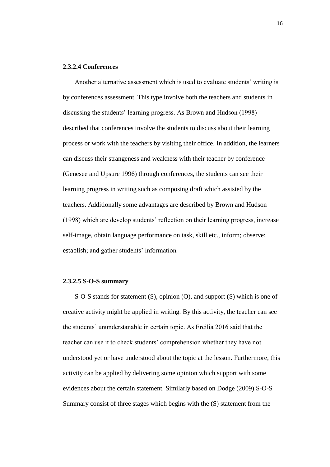## **2.3.2.4 Conferences**

Another alternative assessment which is used to evaluate students' writing is by conferences assessment. This type involve both the teachers and students in discussing the students' learning progress. As Brown and Hudson (1998) described that conferences involve the students to discuss about their learning process or work with the teachers by visiting their office. In addition, the learners can discuss their strangeness and weakness with their teacher by conference (Genesee and Upsure 1996) through conferences, the students can see their learning progress in writing such as composing draft which assisted by the teachers. Additionally some advantages are described by Brown and Hudson (1998) which are develop students' reflection on their learning progress, increase self-image, obtain language performance on task, skill etc., inform; observe; establish; and gather students' information.

## **2.3.2.5 S-O-S summary**

S-O-S stands for statement (S), opinion (O), and support (S) which is one of creative activity might be applied in writing. By this activity, the teacher can see the students' ununderstanable in certain topic. As Ercilia 2016 said that the teacher can use it to check students' comprehension whether they have not understood yet or have understood about the topic at the lesson. Furthermore, this activity can be applied by delivering some opinion which support with some evidences about the certain statement. Similarly based on Dodge (2009) S-O-S Summary consist of three stages which begins with the (S) statement from the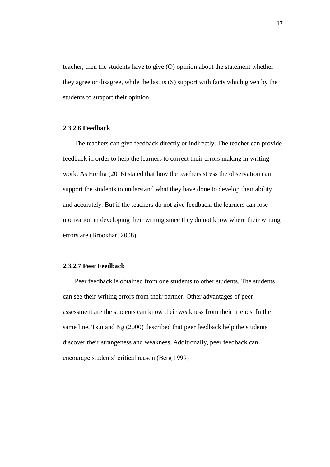teacher, then the students have to give (O) opinion about the statement whether they agree or disagree, while the last is (S) support with facts which given by the students to support their opinion.

## **2.3.2.6 Feedback**

The teachers can give feedback directly or indirectly. The teacher can provide feedback in order to help the learners to correct their errors making in writing work. As Ercilia (2016) stated that how the teachers stress the observation can support the students to understand what they have done to develop their ability and accurately. But if the teachers do not give feedback, the learners can lose motivation in developing their writing since they do not know where their writing errors are (Brookhart 2008)

# **2.3.2.7 Peer Feedback**

Peer feedback is obtained from one students to other students. The students can see their writing errors from their partner. Other advantages of peer assessment are the students can know their weakness from their friends. In the same line, Tsui and Ng (2000) described that peer feedback help the students discover their strangeness and weakness. Additionally, peer feedback can encourage students' critical reason (Berg 1999)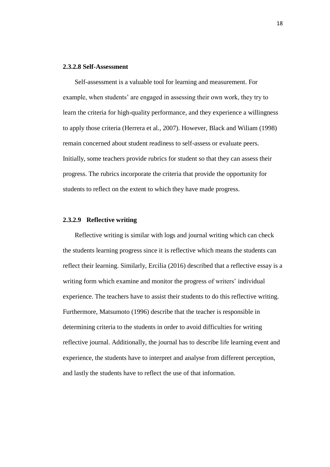#### **2.3.2.8 Self-Assessment**

Self-assessment is a valuable tool for learning and measurement. For example, when students' are engaged in assessing their own work, they try to learn the criteria for high-quality performance, and they experience a willingness to apply those criteria (Herrera et al., 2007). However, Black and Wiliam (1998) remain concerned about student readiness to self-assess or evaluate peers. Initially, some teachers provide rubrics for student so that they can assess their progress. The rubrics incorporate the criteria that provide the opportunity for students to reflect on the extent to which they have made progress.

### **2.3.2.9 Reflective writing**

Reflective writing is similar with logs and journal writing which can check the students learning progress since it is reflective which means the students can reflect their learning. Similarly, Ercilia (2016) described that a reflective essay is a writing form which examine and monitor the progress of writers' individual experience. The teachers have to assist their students to do this reflective writing. Furthermore, Matsumoto (1996) describe that the teacher is responsible in determining criteria to the students in order to avoid difficulties for writing reflective journal. Additionally, the journal has to describe life learning event and experience, the students have to interpret and analyse from different perception, and lastly the students have to reflect the use of that information.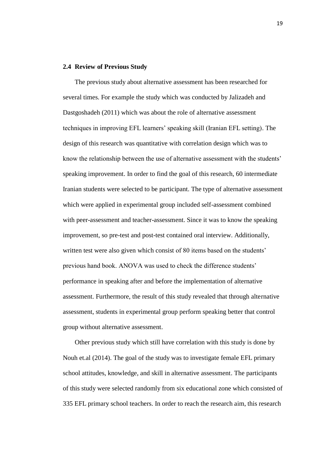### **2.4 Review of Previous Study**

The previous study about alternative assessment has been researched for several times. For example the study which was conducted by Jalizadeh and Dastgoshadeh (2011) which was about the role of alternative assessment techniques in improving EFL learners' speaking skill (Iranian EFL setting). The design of this research was quantitative with correlation design which was to know the relationship between the use of alternative assessment with the students' speaking improvement. In order to find the goal of this research, 60 intermediate Iranian students were selected to be participant. The type of alternative assessment which were applied in experimental group included self-assessment combined with peer-assessment and teacher-assessment. Since it was to know the speaking improvement, so pre-test and post-test contained oral interview. Additionally, written test were also given which consist of 80 items based on the students' previous hand book. ANOVA was used to check the difference students' performance in speaking after and before the implementation of alternative assessment. Furthermore, the result of this study revealed that through alternative assessment, students in experimental group perform speaking better that control group without alternative assessment.

Other previous study which still have correlation with this study is done by Nouh et.al (2014). The goal of the study was to investigate female EFL primary school attitudes, knowledge, and skill in alternative assessment. The participants of this study were selected randomly from six educational zone which consisted of 335 EFL primary school teachers. In order to reach the research aim, this research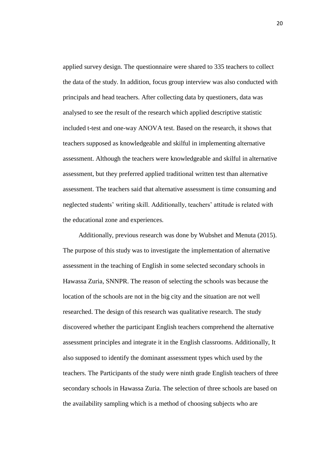applied survey design. The questionnaire were shared to 335 teachers to collect the data of the study. In addition, focus group interview was also conducted with principals and head teachers. After collecting data by questioners, data was analysed to see the result of the research which applied descriptive statistic included t-test and one-way ANOVA test. Based on the research, it shows that teachers supposed as knowledgeable and skilful in implementing alternative assessment. Although the teachers were knowledgeable and skilful in alternative assessment, but they preferred applied traditional written test than alternative assessment. The teachers said that alternative assessment is time consuming and neglected students' writing skill. Additionally, teachers' attitude is related with the educational zone and experiences.

Additionally, previous research was done by Wubshet and Menuta (2015). The purpose of this study was to investigate the implementation of alternative assessment in the teaching of English in some selected secondary schools in Hawassa Zuria, SNNPR. The reason of selecting the schools was because the location of the schools are not in the big city and the situation are not well researched. The design of this research was qualitative research. The study discovered whether the participant English teachers comprehend the alternative assessment principles and integrate it in the English classrooms. Additionally, It also supposed to identify the dominant assessment types which used by the teachers. The Participants of the study were ninth grade English teachers of three secondary schools in Hawassa Zuria. The selection of three schools are based on the availability sampling which is a method of choosing subjects who are

20